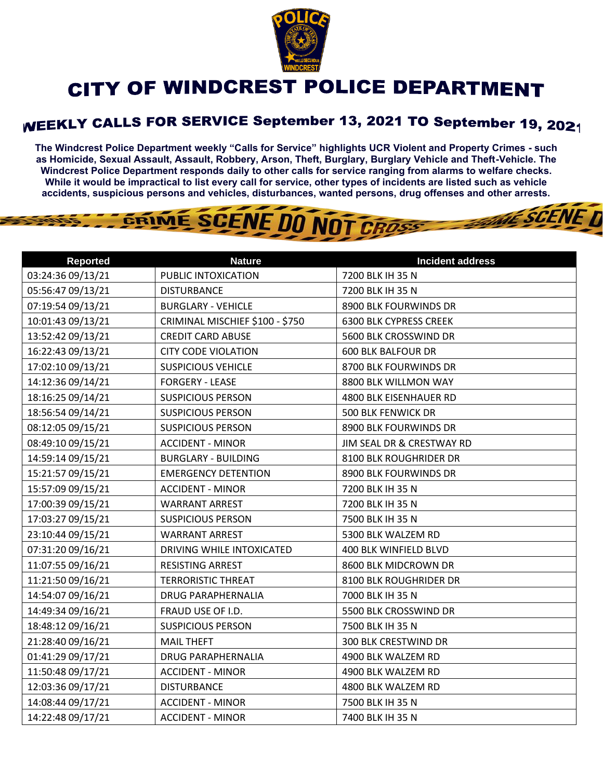

## CITY OF WINDCREST POLICE DEPARTMENT

## WEEKLY CALLS FOR SERVICE September 13, 2021 TO September 19, 2021

**The Windcrest Police Department weekly "Calls for Service" highlights UCR Violent and Property Crimes - such as Homicide, Sexual Assault, Assault, Robbery, Arson, Theft, Burglary, Burglary Vehicle and Theft-Vehicle. The Windcrest Police Department responds daily to other calls for service ranging from alarms to welfare checks. While it would be impractical to list every call for service, other types of incidents are listed such as vehicle accidents, suspicious persons and vehicles, disturbances, wanted persons, drug offenses and other arrests.** 

THE SCENE D

## GRIME SCENE DO NOT CROSS

| <b>Reported</b>   | <b>Nature</b>                   | <b>Incident address</b>       |
|-------------------|---------------------------------|-------------------------------|
| 03:24:36 09/13/21 | PUBLIC INTOXICATION             | 7200 BLK IH 35 N              |
| 05:56:47 09/13/21 | <b>DISTURBANCE</b>              | 7200 BLK IH 35 N              |
| 07:19:54 09/13/21 | <b>BURGLARY - VEHICLE</b>       | 8900 BLK FOURWINDS DR         |
| 10:01:43 09/13/21 | CRIMINAL MISCHIEF \$100 - \$750 | <b>6300 BLK CYPRESS CREEK</b> |
| 13:52:42 09/13/21 | <b>CREDIT CARD ABUSE</b>        | 5600 BLK CROSSWIND DR         |
| 16:22:43 09/13/21 | <b>CITY CODE VIOLATION</b>      | <b>600 BLK BALFOUR DR</b>     |
| 17:02:10 09/13/21 | <b>SUSPICIOUS VEHICLE</b>       | 8700 BLK FOURWINDS DR         |
| 14:12:36 09/14/21 | <b>FORGERY - LEASE</b>          | 8800 BLK WILLMON WAY          |
| 18:16:25 09/14/21 | <b>SUSPICIOUS PERSON</b>        | 4800 BLK EISENHAUER RD        |
| 18:56:54 09/14/21 | <b>SUSPICIOUS PERSON</b>        | 500 BLK FENWICK DR            |
| 08:12:05 09/15/21 | <b>SUSPICIOUS PERSON</b>        | 8900 BLK FOURWINDS DR         |
| 08:49:10 09/15/21 | <b>ACCIDENT - MINOR</b>         | JIM SEAL DR & CRESTWAY RD     |
| 14:59:14 09/15/21 | <b>BURGLARY - BUILDING</b>      | 8100 BLK ROUGHRIDER DR        |
| 15:21:57 09/15/21 | <b>EMERGENCY DETENTION</b>      | 8900 BLK FOURWINDS DR         |
| 15:57:09 09/15/21 | <b>ACCIDENT - MINOR</b>         | 7200 BLK IH 35 N              |
| 17:00:39 09/15/21 | <b>WARRANT ARREST</b>           | 7200 BLK IH 35 N              |
| 17:03:27 09/15/21 | <b>SUSPICIOUS PERSON</b>        | 7500 BLK IH 35 N              |
| 23:10:44 09/15/21 | <b>WARRANT ARREST</b>           | 5300 BLK WALZEM RD            |
| 07:31:20 09/16/21 | DRIVING WHILE INTOXICATED       | 400 BLK WINFIELD BLVD         |
| 11:07:55 09/16/21 | RESISTING ARREST                | 8600 BLK MIDCROWN DR          |
| 11:21:50 09/16/21 | <b>TERRORISTIC THREAT</b>       | 8100 BLK ROUGHRIDER DR        |
| 14:54:07 09/16/21 | <b>DRUG PARAPHERNALIA</b>       | 7000 BLK IH 35 N              |
| 14:49:34 09/16/21 | FRAUD USE OF I.D.               | 5500 BLK CROSSWIND DR         |
| 18:48:12 09/16/21 | <b>SUSPICIOUS PERSON</b>        | 7500 BLK IH 35 N              |
| 21:28:40 09/16/21 | <b>MAIL THEFT</b>               | 300 BLK CRESTWIND DR          |
| 01:41:29 09/17/21 | <b>DRUG PARAPHERNALIA</b>       | 4900 BLK WALZEM RD            |
| 11:50:48 09/17/21 | <b>ACCIDENT - MINOR</b>         | 4900 BLK WALZEM RD            |
| 12:03:36 09/17/21 | <b>DISTURBANCE</b>              | 4800 BLK WALZEM RD            |
| 14:08:44 09/17/21 | <b>ACCIDENT - MINOR</b>         | 7500 BLK IH 35 N              |
| 14:22:48 09/17/21 | <b>ACCIDENT - MINOR</b>         | 7400 BLK IH 35 N              |